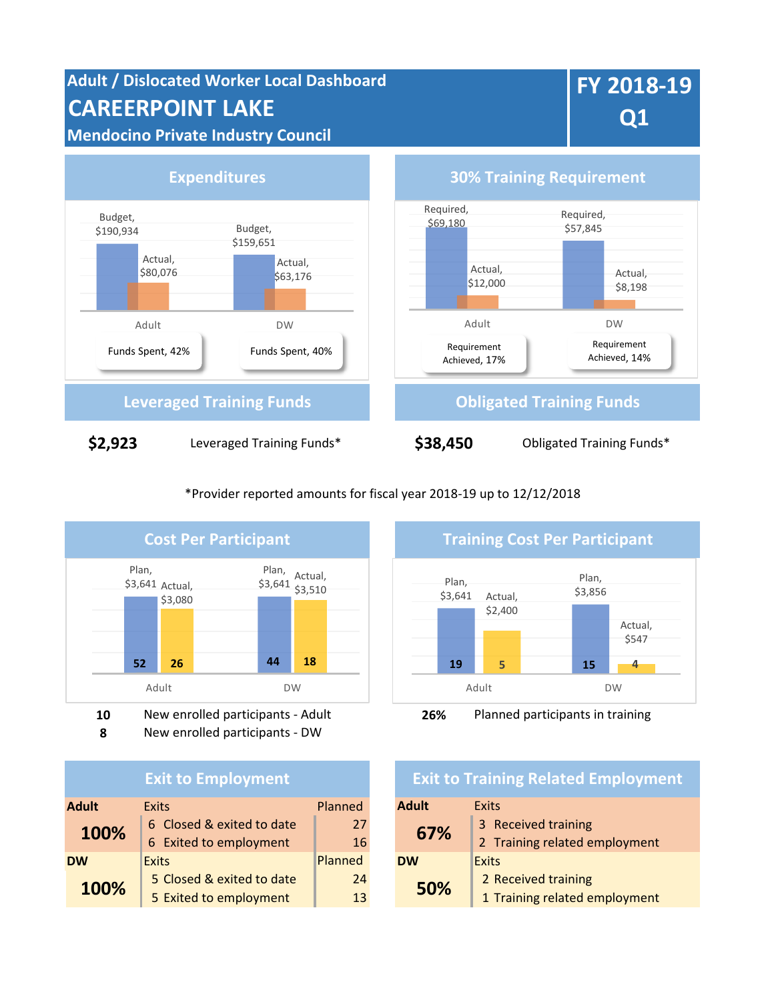**Adult / Dislocated Worker Local Dashboard CAREERPOINT LAKE Mendocino Private Industry Council**

# **FY 2018-19 Q1**



\*Provider reported amounts for fiscal year 2018-19 up to 12/12/2018



**8** New enrolled participants - DW

#### **Exit to Employment**

| <b>Adult</b> | <b>Exits</b>              | Planned | <b>Adult</b> | <b>Exits</b>         |
|--------------|---------------------------|---------|--------------|----------------------|
| 100%         | 6 Closed & exited to date | 27      | 67%          | 3 Received training  |
|              | 6 Exited to employment    | 16      |              | 2 Training related e |
| <b>DW</b>    | <b>Exits</b>              | Planned | <b>DW</b>    | Exits                |
| 100%         | 5 Closed & exited to date | 24      | 50%          | 2 Received training  |
|              | 5 Exited to employment    | 13      |              | 1 Training related e |



**10** New enrolled participants - Adult **26%** Planned participants in training

## **Exit to Training Related Employment**

| xits                          | Planned | <b>Adult</b> | Exits                         |
|-------------------------------|---------|--------------|-------------------------------|
| G Closed & exited to date     | 27      | 67%          | 3 Received training           |
| <b>S</b> Exited to employment | 16      |              | 2 Training related employment |
| xits                          | Planned | <b>DW</b>    | Exits                         |
| 5 Closed & exited to date     | 24      | 50%          | 2 Received training           |
| 5 Exited to employment        | 13      |              | 1 Training related employment |
|                               |         |              |                               |